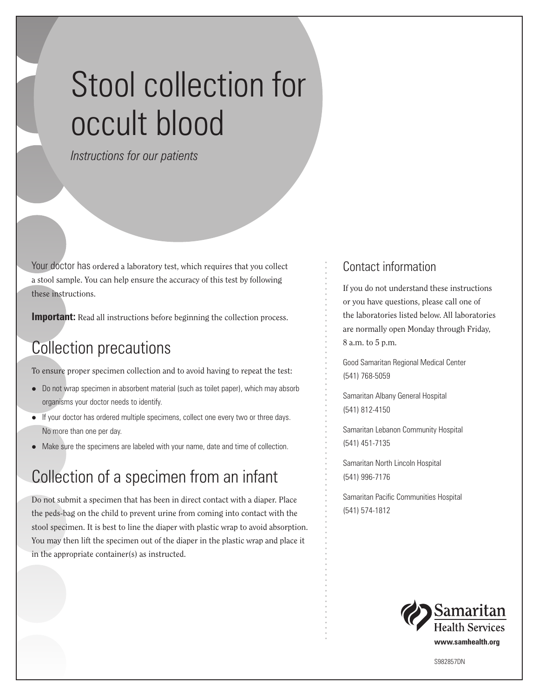# Stool collection for occult blood

*Instructions for our patients*

Your doctor has ordered a laboratory test, which requires that you collect a stool sample. You can help ensure the accuracy of this test by following these instructions.

**Important:** Read all instructions before beginning the collection process.

## Collection precautions

To ensure proper specimen collection and to avoid having to repeat the test:

- Do not wrap specimen in absorbent material (such as toilet paper), which may absorb organisms your doctor needs to identify.
- $\bullet$  If your doctor has ordered multiple specimens, collect one every two or three days. No more than one per day.
- Make sure the specimens are labeled with your name, date and time of collection.

## Collection of a specimen from an infant

Do not submit a specimen that has been in direct contact with a diaper. Place the peds-bag on the child to prevent urine from coming into contact with the stool specimen. It is best to line the diaper with plastic wrap to avoid absorption. You may then lift the specimen out of the diaper in the plastic wrap and place it in the appropriate container(s) as instructed.

#### Contact information

If you do not understand these instructions or you have questions, please call one of the laboratories listed below. All laboratories are normally open Monday through Friday, 8 a.m. to 5 p.m.

Good Samaritan Regional Medical Center (541) 768-5059

Samaritan Albany General Hospital (541) 812-4150

Samaritan Lebanon Community Hospital (541) 451-7135

Samaritan North Lincoln Hospital (541) 996-7176

Samaritan Pacific Communities Hospital (541) 574-1812



S982857DN